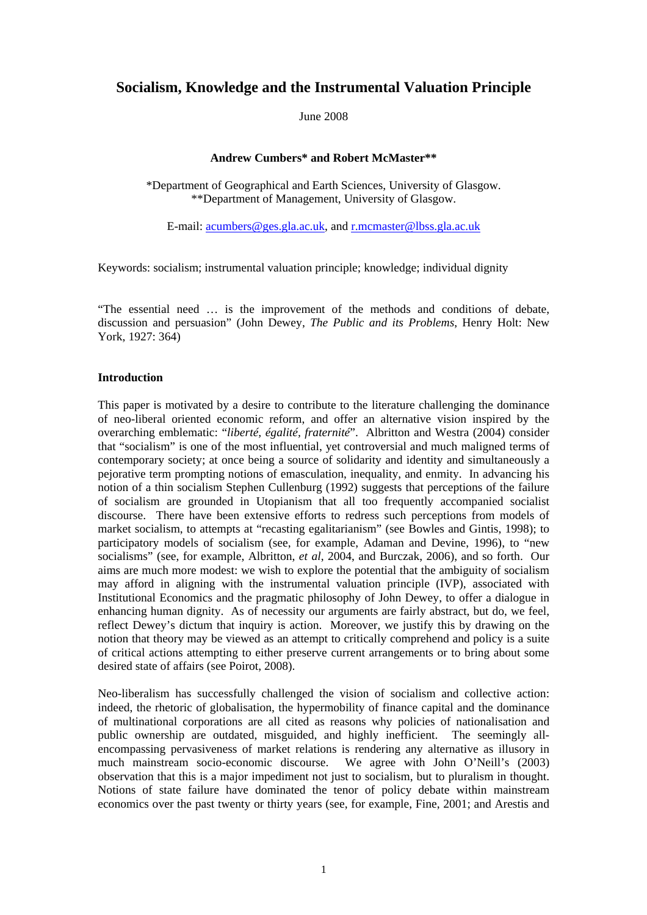# **Socialism, Knowledge and the Instrumental Valuation Principle**

June 2008

## **Andrew Cumbers\* and Robert McMaster\*\***

\*Department of Geographical and Earth Sciences, University of Glasgow. \*\*Department of Management, University of Glasgow.

E-mail: acumbers@ges.gla.ac.uk, and r.mcmaster@lbss.gla.ac.uk

Keywords: socialism; instrumental valuation principle; knowledge; individual dignity

"The essential need … is the improvement of the methods and conditions of debate, discussion and persuasion" (John Dewey, *The Public and its Problems*, Henry Holt: New York, 1927: 364)

## **Introduction**

This paper is motivated by a desire to contribute to the literature challenging the dominance of neo-liberal oriented economic reform, and offer an alternative vision inspired by the overarching emblematic: "*liberté, égalité, fraternité*". Albritton and Westra (2004) consider that "socialism" is one of the most influential, yet controversial and much maligned terms of contemporary society; at once being a source of solidarity and identity and simultaneously a pejorative term prompting notions of emasculation, inequality, and enmity. In advancing his notion of a thin socialism Stephen Cullenburg (1992) suggests that perceptions of the failure of socialism are grounded in Utopianism that all too frequently accompanied socialist discourse. There have been extensive efforts to redress such perceptions from models of market socialism, to attempts at "recasting egalitarianism" (see Bowles and Gintis, 1998); to participatory models of socialism (see, for example, Adaman and Devine, 1996), to "new socialisms" (see, for example, Albritton, *et al*, 2004, and Burczak, 2006), and so forth. Our aims are much more modest: we wish to explore the potential that the ambiguity of socialism may afford in aligning with the instrumental valuation principle (IVP), associated with Institutional Economics and the pragmatic philosophy of John Dewey, to offer a dialogue in enhancing human dignity. As of necessity our arguments are fairly abstract, but do, we feel, reflect Dewey's dictum that inquiry is action. Moreover, we justify this by drawing on the notion that theory may be viewed as an attempt to critically comprehend and policy is a suite of critical actions attempting to either preserve current arrangements or to bring about some desired state of affairs (see Poirot, 2008).

Neo-liberalism has successfully challenged the vision of socialism and collective action: indeed, the rhetoric of globalisation, the hypermobility of finance capital and the dominance of multinational corporations are all cited as reasons why policies of nationalisation and public ownership are outdated, misguided, and highly inefficient. The seemingly allencompassing pervasiveness of market relations is rendering any alternative as illusory in much mainstream socio-economic discourse. We agree with John O'Neill's (2003) observation that this is a major impediment not just to socialism, but to pluralism in thought. Notions of state failure have dominated the tenor of policy debate within mainstream economics over the past twenty or thirty years (see, for example, Fine, 2001; and Arestis and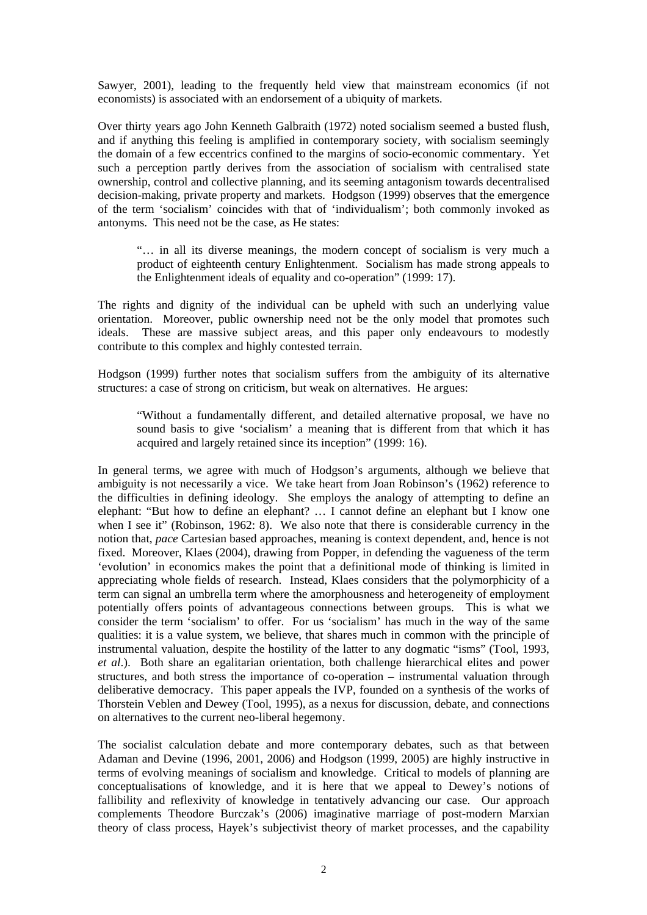Sawyer, 2001), leading to the frequently held view that mainstream economics (if not economists) is associated with an endorsement of a ubiquity of markets.

Over thirty years ago John Kenneth Galbraith (1972) noted socialism seemed a busted flush, and if anything this feeling is amplified in contemporary society, with socialism seemingly the domain of a few eccentrics confined to the margins of socio-economic commentary. Yet such a perception partly derives from the association of socialism with centralised state ownership, control and collective planning, and its seeming antagonism towards decentralised decision-making, private property and markets. Hodgson (1999) observes that the emergence of the term 'socialism' coincides with that of 'individualism'; both commonly invoked as antonyms. This need not be the case, as He states:

"… in all its diverse meanings, the modern concept of socialism is very much a product of eighteenth century Enlightenment. Socialism has made strong appeals to the Enlightenment ideals of equality and co-operation" (1999: 17).

The rights and dignity of the individual can be upheld with such an underlying value orientation. Moreover, public ownership need not be the only model that promotes such ideals. These are massive subject areas, and this paper only endeavours to modestly contribute to this complex and highly contested terrain.

Hodgson (1999) further notes that socialism suffers from the ambiguity of its alternative structures: a case of strong on criticism, but weak on alternatives. He argues:

"Without a fundamentally different, and detailed alternative proposal, we have no sound basis to give 'socialism' a meaning that is different from that which it has acquired and largely retained since its inception" (1999: 16).

In general terms, we agree with much of Hodgson's arguments, although we believe that ambiguity is not necessarily a vice. We take heart from Joan Robinson's (1962) reference to the difficulties in defining ideology. She employs the analogy of attempting to define an elephant: "But how to define an elephant? … I cannot define an elephant but I know one when I see it" (Robinson, 1962: 8). We also note that there is considerable currency in the notion that, *pace* Cartesian based approaches, meaning is context dependent, and, hence is not fixed. Moreover, Klaes (2004), drawing from Popper, in defending the vagueness of the term 'evolution' in economics makes the point that a definitional mode of thinking is limited in appreciating whole fields of research. Instead, Klaes considers that the polymorphicity of a term can signal an umbrella term where the amorphousness and heterogeneity of employment potentially offers points of advantageous connections between groups. This is what we consider the term 'socialism' to offer. For us 'socialism' has much in the way of the same qualities: it is a value system, we believe, that shares much in common with the principle of instrumental valuation, despite the hostility of the latter to any dogmatic "isms" (Tool, 1993, *et al*.). Both share an egalitarian orientation, both challenge hierarchical elites and power structures, and both stress the importance of co-operation – instrumental valuation through deliberative democracy. This paper appeals the IVP, founded on a synthesis of the works of Thorstein Veblen and Dewey (Tool, 1995), as a nexus for discussion, debate, and connections on alternatives to the current neo-liberal hegemony.

The socialist calculation debate and more contemporary debates, such as that between Adaman and Devine (1996, 2001, 2006) and Hodgson (1999, 2005) are highly instructive in terms of evolving meanings of socialism and knowledge. Critical to models of planning are conceptualisations of knowledge, and it is here that we appeal to Dewey's notions of fallibility and reflexivity of knowledge in tentatively advancing our case. Our approach complements Theodore Burczak's (2006) imaginative marriage of post-modern Marxian theory of class process, Hayek's subjectivist theory of market processes, and the capability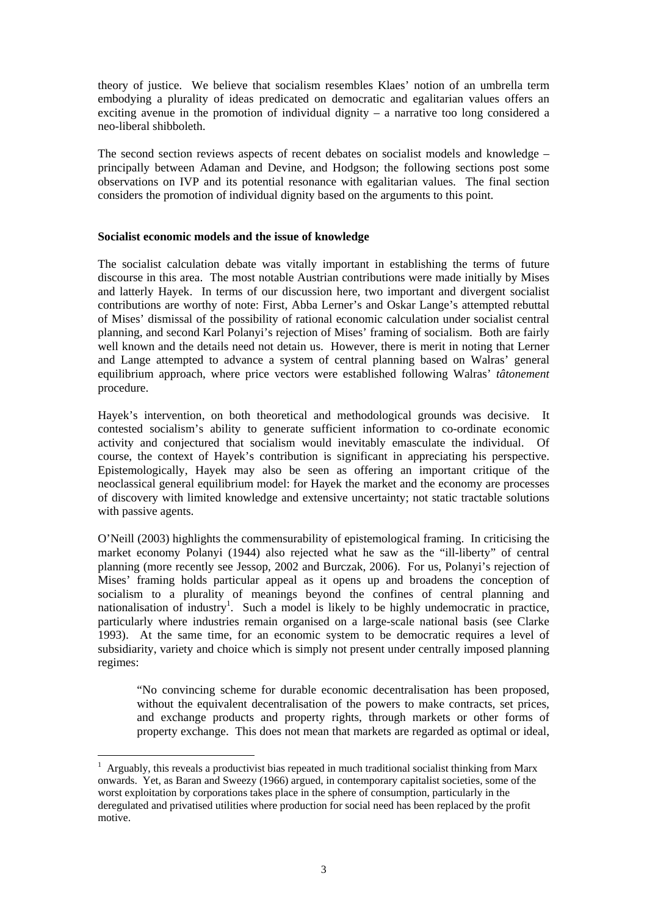theory of justice. We believe that socialism resembles Klaes' notion of an umbrella term embodying a plurality of ideas predicated on democratic and egalitarian values offers an exciting avenue in the promotion of individual dignity – a narrative too long considered a neo-liberal shibboleth.

The second section reviews aspects of recent debates on socialist models and knowledge – principally between Adaman and Devine, and Hodgson; the following sections post some observations on IVP and its potential resonance with egalitarian values. The final section considers the promotion of individual dignity based on the arguments to this point.

### **Socialist economic models and the issue of knowledge**

The socialist calculation debate was vitally important in establishing the terms of future discourse in this area. The most notable Austrian contributions were made initially by Mises and latterly Hayek. In terms of our discussion here, two important and divergent socialist contributions are worthy of note: First, Abba Lerner's and Oskar Lange's attempted rebuttal of Mises' dismissal of the possibility of rational economic calculation under socialist central planning, and second Karl Polanyi's rejection of Mises' framing of socialism. Both are fairly well known and the details need not detain us. However, there is merit in noting that Lerner and Lange attempted to advance a system of central planning based on Walras' general equilibrium approach, where price vectors were established following Walras' *tâtonement* procedure.

Hayek's intervention, on both theoretical and methodological grounds was decisive. It contested socialism's ability to generate sufficient information to co-ordinate economic activity and conjectured that socialism would inevitably emasculate the individual. Of course, the context of Hayek's contribution is significant in appreciating his perspective. Epistemologically, Hayek may also be seen as offering an important critique of the neoclassical general equilibrium model: for Hayek the market and the economy are processes of discovery with limited knowledge and extensive uncertainty; not static tractable solutions with passive agents.

O'Neill (2003) highlights the commensurability of epistemological framing. In criticising the market economy Polanyi (1944) also rejected what he saw as the "ill-liberty" of central planning (more recently see Jessop, 2002 and Burczak, 2006). For us, Polanyi's rejection of Mises' framing holds particular appeal as it opens up and broadens the conception of socialism to a plurality of meanings beyond the confines of central planning and nationalisation of industry<sup>1</sup>. Such a model is likely to be highly undemocratic in practice, particularly where industries remain organised on a large-scale national basis (see Clarke 1993). At the same time, for an economic system to be democratic requires a level of subsidiarity, variety and choice which is simply not present under centrally imposed planning regimes:

"No convincing scheme for durable economic decentralisation has been proposed, without the equivalent decentralisation of the powers to make contracts, set prices, and exchange products and property rights, through markets or other forms of property exchange. This does not mean that markets are regarded as optimal or ideal,

<sup>1</sup> Arguably, this reveals a productivist bias repeated in much traditional socialist thinking from Marx onwards. Yet, as Baran and Sweezy (1966) argued, in contemporary capitalist societies, some of the worst exploitation by corporations takes place in the sphere of consumption, particularly in the deregulated and privatised utilities where production for social need has been replaced by the profit motive.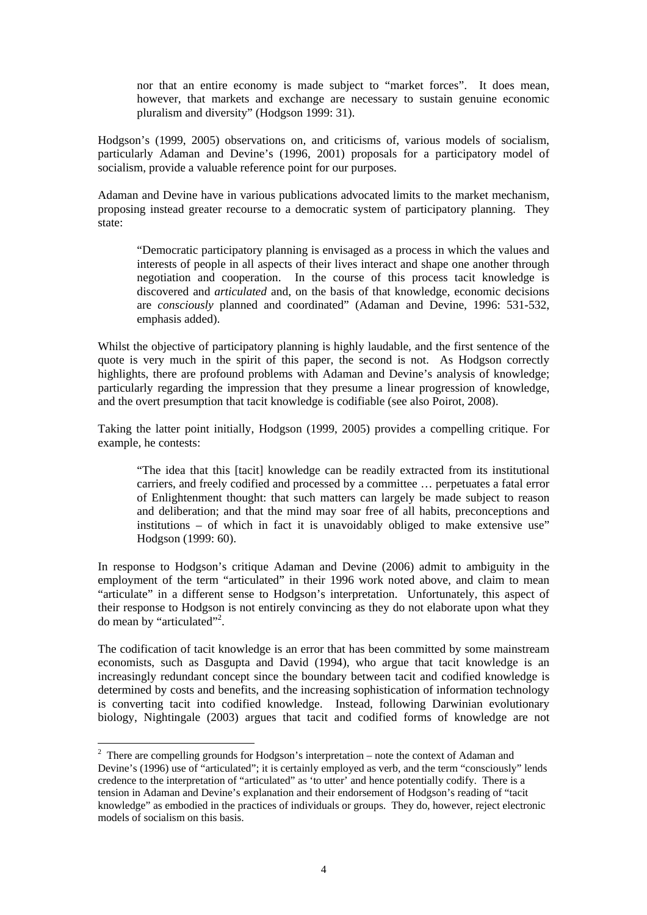nor that an entire economy is made subject to "market forces". It does mean, however, that markets and exchange are necessary to sustain genuine economic pluralism and diversity" (Hodgson 1999: 31).

Hodgson's (1999, 2005) observations on, and criticisms of, various models of socialism, particularly Adaman and Devine's (1996, 2001) proposals for a participatory model of socialism, provide a valuable reference point for our purposes.

Adaman and Devine have in various publications advocated limits to the market mechanism, proposing instead greater recourse to a democratic system of participatory planning. They state:

"Democratic participatory planning is envisaged as a process in which the values and interests of people in all aspects of their lives interact and shape one another through negotiation and cooperation. In the course of this process tacit knowledge is discovered and *articulated* and, on the basis of that knowledge, economic decisions are *consciously* planned and coordinated" (Adaman and Devine, 1996: 531-532, emphasis added).

Whilst the objective of participatory planning is highly laudable, and the first sentence of the quote is very much in the spirit of this paper, the second is not. As Hodgson correctly highlights, there are profound problems with Adaman and Devine's analysis of knowledge; particularly regarding the impression that they presume a linear progression of knowledge, and the overt presumption that tacit knowledge is codifiable (see also Poirot, 2008).

Taking the latter point initially, Hodgson (1999, 2005) provides a compelling critique. For example, he contests:

"The idea that this [tacit] knowledge can be readily extracted from its institutional carriers, and freely codified and processed by a committee … perpetuates a fatal error of Enlightenment thought: that such matters can largely be made subject to reason and deliberation; and that the mind may soar free of all habits, preconceptions and institutions – of which in fact it is unavoidably obliged to make extensive use" Hodgson (1999: 60).

In response to Hodgson's critique Adaman and Devine (2006) admit to ambiguity in the employment of the term "articulated" in their 1996 work noted above, and claim to mean "articulate" in a different sense to Hodgson's interpretation. Unfortunately, this aspect of their response to Hodgson is not entirely convincing as they do not elaborate upon what they do mean by "articulated"2 .

The codification of tacit knowledge is an error that has been committed by some mainstream economists, such as Dasgupta and David (1994), who argue that tacit knowledge is an increasingly redundant concept since the boundary between tacit and codified knowledge is determined by costs and benefits, and the increasing sophistication of information technology is converting tacit into codified knowledge. Instead, following Darwinian evolutionary biology, Nightingale (2003) argues that tacit and codified forms of knowledge are not

 $2$  There are compelling grounds for Hodgson's interpretation – note the context of Adaman and Devine's (1996) use of "articulated"; it is certainly employed as verb, and the term "consciously" lends credence to the interpretation of "articulated" as 'to utter' and hence potentially codify. There is a tension in Adaman and Devine's explanation and their endorsement of Hodgson's reading of "tacit knowledge" as embodied in the practices of individuals or groups. They do, however, reject electronic models of socialism on this basis.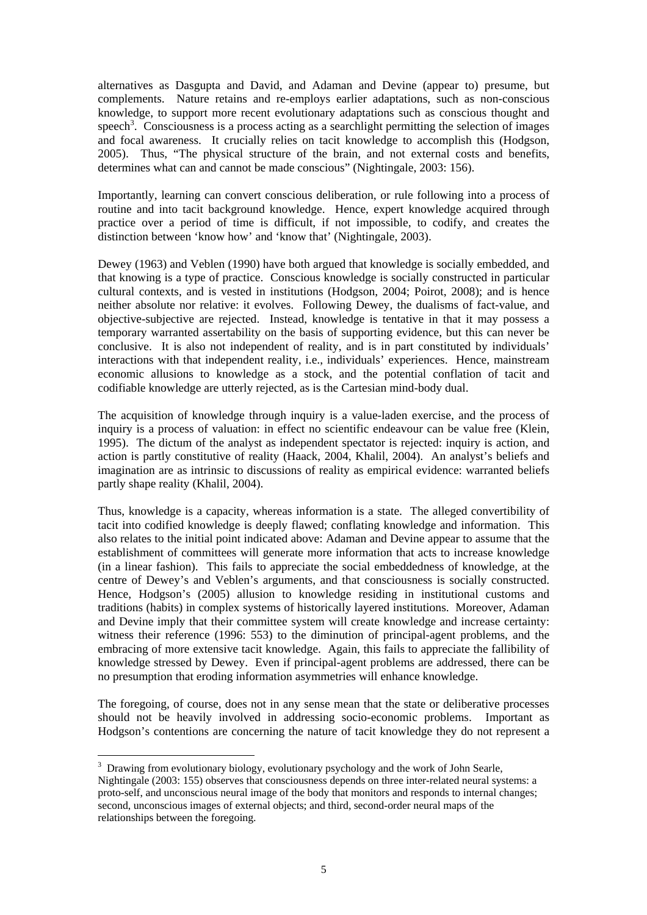alternatives as Dasgupta and David, and Adaman and Devine (appear to) presume, but complements. Nature retains and re-employs earlier adaptations, such as non-conscious knowledge, to support more recent evolutionary adaptations such as conscious thought and speech<sup>3</sup>. Consciousness is a process acting as a searchlight permitting the selection of images and focal awareness. It crucially relies on tacit knowledge to accomplish this (Hodgson, 2005). Thus, "The physical structure of the brain, and not external costs and benefits, determines what can and cannot be made conscious" (Nightingale, 2003: 156).

Importantly, learning can convert conscious deliberation, or rule following into a process of routine and into tacit background knowledge. Hence, expert knowledge acquired through practice over a period of time is difficult, if not impossible, to codify, and creates the distinction between 'know how' and 'know that' (Nightingale, 2003).

Dewey (1963) and Veblen (1990) have both argued that knowledge is socially embedded, and that knowing is a type of practice. Conscious knowledge is socially constructed in particular cultural contexts, and is vested in institutions (Hodgson, 2004; Poirot, 2008); and is hence neither absolute nor relative: it evolves. Following Dewey, the dualisms of fact-value, and objective-subjective are rejected. Instead, knowledge is tentative in that it may possess a temporary warranted assertability on the basis of supporting evidence, but this can never be conclusive. It is also not independent of reality, and is in part constituted by individuals' interactions with that independent reality, i.e., individuals' experiences. Hence, mainstream economic allusions to knowledge as a stock, and the potential conflation of tacit and codifiable knowledge are utterly rejected, as is the Cartesian mind-body dual.

The acquisition of knowledge through inquiry is a value-laden exercise, and the process of inquiry is a process of valuation: in effect no scientific endeavour can be value free (Klein, 1995). The dictum of the analyst as independent spectator is rejected: inquiry is action, and action is partly constitutive of reality (Haack, 2004, Khalil, 2004). An analyst's beliefs and imagination are as intrinsic to discussions of reality as empirical evidence: warranted beliefs partly shape reality (Khalil, 2004).

Thus, knowledge is a capacity, whereas information is a state. The alleged convertibility of tacit into codified knowledge is deeply flawed; conflating knowledge and information. This also relates to the initial point indicated above: Adaman and Devine appear to assume that the establishment of committees will generate more information that acts to increase knowledge (in a linear fashion). This fails to appreciate the social embeddedness of knowledge, at the centre of Dewey's and Veblen's arguments, and that consciousness is socially constructed. Hence, Hodgson's (2005) allusion to knowledge residing in institutional customs and traditions (habits) in complex systems of historically layered institutions. Moreover, Adaman and Devine imply that their committee system will create knowledge and increase certainty: witness their reference (1996: 553) to the diminution of principal-agent problems, and the embracing of more extensive tacit knowledge. Again, this fails to appreciate the fallibility of knowledge stressed by Dewey. Even if principal-agent problems are addressed, there can be no presumption that eroding information asymmetries will enhance knowledge.

The foregoing, of course, does not in any sense mean that the state or deliberative processes should not be heavily involved in addressing socio-economic problems. Important as Hodgson's contentions are concerning the nature of tacit knowledge they do not represent a

<sup>&</sup>lt;sup>3</sup> Drawing from evolutionary biology, evolutionary psychology and the work of John Searle, Nightingale (2003: 155) observes that consciousness depends on three inter-related neural systems: a proto-self, and unconscious neural image of the body that monitors and responds to internal changes; second, unconscious images of external objects; and third, second-order neural maps of the relationships between the foregoing.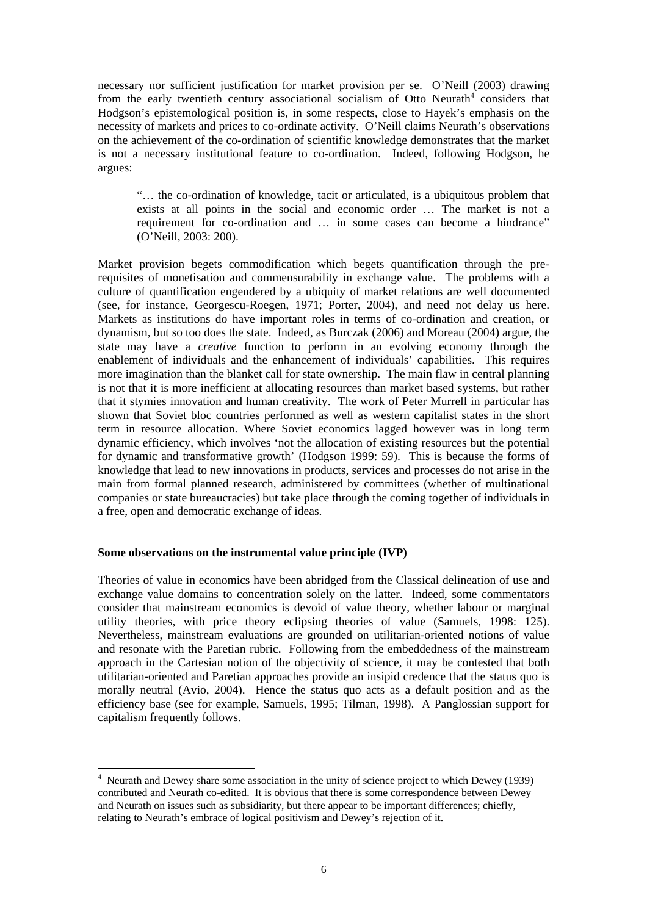necessary nor sufficient justification for market provision per se. O'Neill (2003) drawing from the early twentieth century associational socialism of Otto Neurath<sup>4</sup> considers that Hodgson's epistemological position is, in some respects, close to Hayek's emphasis on the necessity of markets and prices to co-ordinate activity. O'Neill claims Neurath's observations on the achievement of the co-ordination of scientific knowledge demonstrates that the market is not a necessary institutional feature to co-ordination. Indeed, following Hodgson, he argues:

"… the co-ordination of knowledge, tacit or articulated, is a ubiquitous problem that exists at all points in the social and economic order … The market is not a requirement for co-ordination and … in some cases can become a hindrance" (O'Neill, 2003: 200).

Market provision begets commodification which begets quantification through the prerequisites of monetisation and commensurability in exchange value. The problems with a culture of quantification engendered by a ubiquity of market relations are well documented (see, for instance, Georgescu-Roegen, 1971; Porter, 2004), and need not delay us here. Markets as institutions do have important roles in terms of co-ordination and creation, or dynamism, but so too does the state. Indeed, as Burczak (2006) and Moreau (2004) argue, the state may have a *creative* function to perform in an evolving economy through the enablement of individuals and the enhancement of individuals' capabilities. This requires more imagination than the blanket call for state ownership. The main flaw in central planning is not that it is more inefficient at allocating resources than market based systems, but rather that it stymies innovation and human creativity. The work of Peter Murrell in particular has shown that Soviet bloc countries performed as well as western capitalist states in the short term in resource allocation. Where Soviet economics lagged however was in long term dynamic efficiency, which involves 'not the allocation of existing resources but the potential for dynamic and transformative growth' (Hodgson 1999: 59). This is because the forms of knowledge that lead to new innovations in products, services and processes do not arise in the main from formal planned research, administered by committees (whether of multinational companies or state bureaucracies) but take place through the coming together of individuals in a free, open and democratic exchange of ideas.

## **Some observations on the instrumental value principle (IVP)**

 $\overline{a}$ 

Theories of value in economics have been abridged from the Classical delineation of use and exchange value domains to concentration solely on the latter. Indeed, some commentators consider that mainstream economics is devoid of value theory, whether labour or marginal utility theories, with price theory eclipsing theories of value (Samuels, 1998: 125). Nevertheless, mainstream evaluations are grounded on utilitarian-oriented notions of value and resonate with the Paretian rubric. Following from the embeddedness of the mainstream approach in the Cartesian notion of the objectivity of science, it may be contested that both utilitarian-oriented and Paretian approaches provide an insipid credence that the status quo is morally neutral (Avio, 2004). Hence the status quo acts as a default position and as the efficiency base (see for example, Samuels, 1995; Tilman, 1998). A Panglossian support for capitalism frequently follows.

<sup>&</sup>lt;sup>4</sup> Neurath and Dewey share some association in the unity of science project to which Dewey (1939) contributed and Neurath co-edited. It is obvious that there is some correspondence between Dewey and Neurath on issues such as subsidiarity, but there appear to be important differences; chiefly, relating to Neurath's embrace of logical positivism and Dewey's rejection of it.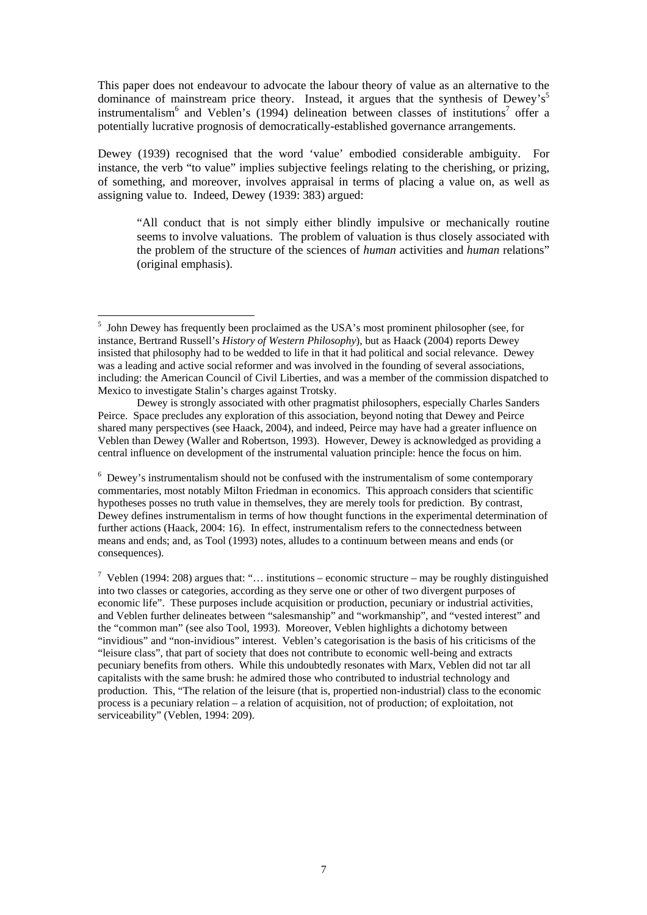This paper does not endeavour to advocate the labour theory of value as an alternative to the dominance of mainstream price theory. Instead, it argues that the synthesis of Dewey's<sup>5</sup> instrumentalism<sup>6</sup> and Veblen's (1994) delineation between classes of institutions<sup>7</sup> offer a potentially lucrative prognosis of democratically-established governance arrangements.

Dewey (1939) recognised that the word 'value' embodied considerable ambiguity. For instance, the verb "to value" implies subjective feelings relating to the cherishing, or prizing, of something, and moreover, involves appraisal in terms of placing a value on, as well as assigning value to. Indeed, Dewey (1939: 383) argued:

"All conduct that is not simply either blindly impulsive or mechanically routine seems to involve valuations. The problem of valuation is thus closely associated with the problem of the structure of the sciences of *human* activities and *human* relations" (original emphasis).

 $\overline{a}$ 

 $6$  Dewey's instrumentalism should not be confused with the instrumentalism of some contemporary commentaries, most notably Milton Friedman in economics. This approach considers that scientific hypotheses posses no truth value in themselves, they are merely tools for prediction. By contrast, Dewey defines instrumentalism in terms of how thought functions in the experimental determination of further actions (Haack, 2004: 16). In effect, instrumentalism refers to the connectedness between means and ends; and, as Tool (1993) notes, alludes to a continuum between means and ends (or consequences).

<sup>7</sup> Veblen (1994: 208) argues that: "... institutions – economic structure – may be roughly distinguished into two classes or categories, according as they serve one or other of two divergent purposes of economic life". These purposes include acquisition or production, pecuniary or industrial activities, and Veblen further delineates between "salesmanship" and "workmanship", and "vested interest" and the "common man" (see also Tool, 1993). Moreover, Veblen highlights a dichotomy between "invidious" and "non-invidious" interest. Veblen's categorisation is the basis of his criticisms of the "leisure class", that part of society that does not contribute to economic well-being and extracts pecuniary benefits from others. While this undoubtedly resonates with Marx, Veblen did not tar all capitalists with the same brush: he admired those who contributed to industrial technology and production. This, "The relation of the leisure (that is, propertied non-industrial) class to the economic process is a pecuniary relation – a relation of acquisition, not of production; of exploitation, not serviceability" (Veblen, 1994: 209).

<sup>&</sup>lt;sup>5</sup> John Dewey has frequently been proclaimed as the USA's most prominent philosopher (see, for instance, Bertrand Russell's *History of Western Philosophy*), but as Haack (2004) reports Dewey insisted that philosophy had to be wedded to life in that it had political and social relevance. Dewey was a leading and active social reformer and was involved in the founding of several associations, including: the American Council of Civil Liberties, and was a member of the commission dispatched to Mexico to investigate Stalin's charges against Trotsky.

Dewey is strongly associated with other pragmatist philosophers, especially Charles Sanders Peirce. Space precludes any exploration of this association, beyond noting that Dewey and Peirce shared many perspectives (see Haack, 2004), and indeed, Peirce may have had a greater influence on Veblen than Dewey (Waller and Robertson, 1993). However, Dewey is acknowledged as providing a central influence on development of the instrumental valuation principle: hence the focus on him.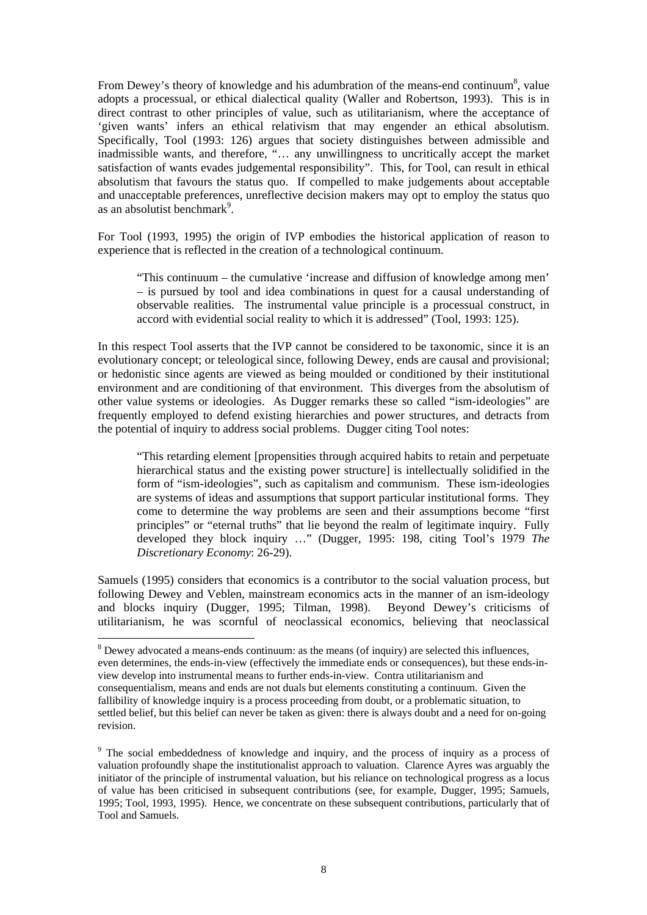From Dewey's theory of knowledge and his adumbration of the means-end continuum<sup>8</sup>, value adopts a processual, or ethical dialectical quality (Waller and Robertson, 1993). This is in direct contrast to other principles of value, such as utilitarianism, where the acceptance of 'given wants' infers an ethical relativism that may engender an ethical absolutism. Specifically, Tool (1993: 126) argues that society distinguishes between admissible and inadmissible wants, and therefore, "… any unwillingness to uncritically accept the market satisfaction of wants evades judgemental responsibility". This, for Tool, can result in ethical absolutism that favours the status quo. If compelled to make judgements about acceptable and unacceptable preferences, unreflective decision makers may opt to employ the status quo as an absolutist benchmark<sup>9</sup>.

For Tool (1993, 1995) the origin of IVP embodies the historical application of reason to experience that is reflected in the creation of a technological continuum.

"This continuum – the cumulative 'increase and diffusion of knowledge among men' – is pursued by tool and idea combinations in quest for a causal understanding of observable realities. The instrumental value principle is a processual construct, in accord with evidential social reality to which it is addressed" (Tool, 1993: 125).

In this respect Tool asserts that the IVP cannot be considered to be taxonomic, since it is an evolutionary concept; or teleological since, following Dewey, ends are causal and provisional; or hedonistic since agents are viewed as being moulded or conditioned by their institutional environment and are conditioning of that environment. This diverges from the absolutism of other value systems or ideologies. As Dugger remarks these so called "ism-ideologies" are frequently employed to defend existing hierarchies and power structures, and detracts from the potential of inquiry to address social problems. Dugger citing Tool notes:

"This retarding element [propensities through acquired habits to retain and perpetuate hierarchical status and the existing power structure] is intellectually solidified in the form of "ism-ideologies", such as capitalism and communism. These ism-ideologies are systems of ideas and assumptions that support particular institutional forms. They come to determine the way problems are seen and their assumptions become "first principles" or "eternal truths" that lie beyond the realm of legitimate inquiry. Fully developed they block inquiry …" (Dugger, 1995: 198, citing Tool's 1979 *The Discretionary Economy*: 26-29).

Samuels (1995) considers that economics is a contributor to the social valuation process, but following Dewey and Veblen, mainstream economics acts in the manner of an ism-ideology and blocks inquiry (Dugger, 1995; Tilman, 1998). Beyond Dewey's criticisms of utilitarianism, he was scornful of neoclassical economics, believing that neoclassical

 $8$  Dewey advocated a means-ends continuum: as the means (of inquiry) are selected this influences, even determines, the ends-in-view (effectively the immediate ends or consequences), but these ends-inview develop into instrumental means to further ends-in-view. Contra utilitarianism and consequentialism, means and ends are not duals but elements constituting a continuum. Given the fallibility of knowledge inquiry is a process proceeding from doubt, or a problematic situation, to settled belief, but this belief can never be taken as given: there is always doubt and a need for on-going revision.

<sup>&</sup>lt;sup>9</sup> The social embeddedness of knowledge and inquiry, and the process of inquiry as a process of valuation profoundly shape the institutionalist approach to valuation. Clarence Ayres was arguably the initiator of the principle of instrumental valuation, but his reliance on technological progress as a locus of value has been criticised in subsequent contributions (see, for example, Dugger, 1995; Samuels, 1995; Tool, 1993, 1995). Hence, we concentrate on these subsequent contributions, particularly that of Tool and Samuels.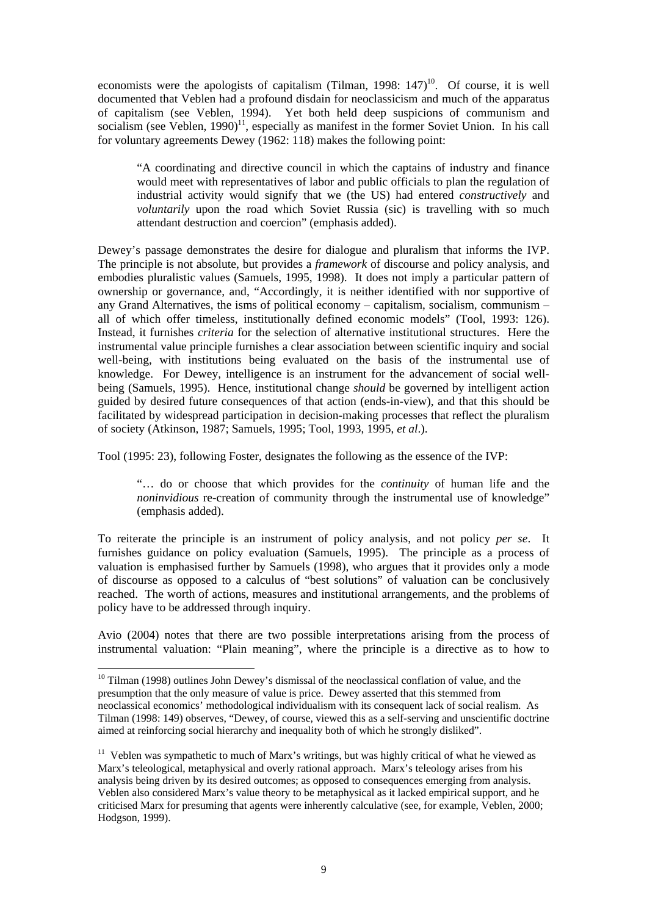economists were the apologists of capitalism (Tilman, 1998:  $147$ )<sup>10</sup>. Of course, it is well documented that Veblen had a profound disdain for neoclassicism and much of the apparatus of capitalism (see Veblen, 1994). Yet both held deep suspicions of communism and socialism (see Veblen,  $1990$ )<sup>11</sup>, especially as manifest in the former Soviet Union. In his call for voluntary agreements Dewey (1962: 118) makes the following point:

"A coordinating and directive council in which the captains of industry and finance would meet with representatives of labor and public officials to plan the regulation of industrial activity would signify that we (the US) had entered *constructively* and *voluntarily* upon the road which Soviet Russia (sic) is travelling with so much attendant destruction and coercion" (emphasis added).

Dewey's passage demonstrates the desire for dialogue and pluralism that informs the IVP. The principle is not absolute, but provides a *framework* of discourse and policy analysis, and embodies pluralistic values (Samuels, 1995, 1998). It does not imply a particular pattern of ownership or governance, and, "Accordingly, it is neither identified with nor supportive of any Grand Alternatives, the isms of political economy – capitalism, socialism, communism – all of which offer timeless, institutionally defined economic models" (Tool, 1993: 126). Instead, it furnishes *criteria* for the selection of alternative institutional structures. Here the instrumental value principle furnishes a clear association between scientific inquiry and social well-being, with institutions being evaluated on the basis of the instrumental use of knowledge. For Dewey, intelligence is an instrument for the advancement of social wellbeing (Samuels, 1995). Hence, institutional change *should* be governed by intelligent action guided by desired future consequences of that action (ends-in-view), and that this should be facilitated by widespread participation in decision-making processes that reflect the pluralism of society (Atkinson, 1987; Samuels, 1995; Tool, 1993, 1995, *et al*.).

Tool (1995: 23), following Foster, designates the following as the essence of the IVP:

"… do or choose that which provides for the *continuity* of human life and the *noninvidious* re-creation of community through the instrumental use of knowledge" (emphasis added).

To reiterate the principle is an instrument of policy analysis, and not policy *per se*. It furnishes guidance on policy evaluation (Samuels, 1995). The principle as a process of valuation is emphasised further by Samuels (1998), who argues that it provides only a mode of discourse as opposed to a calculus of "best solutions" of valuation can be conclusively reached. The worth of actions, measures and institutional arrangements, and the problems of policy have to be addressed through inquiry.

Avio (2004) notes that there are two possible interpretations arising from the process of instrumental valuation: "Plain meaning", where the principle is a directive as to how to

 $10$  Tilman (1998) outlines John Dewey's dismissal of the neoclassical conflation of value, and the presumption that the only measure of value is price. Dewey asserted that this stemmed from neoclassical economics' methodological individualism with its consequent lack of social realism. As Tilman (1998: 149) observes, "Dewey, of course, viewed this as a self-serving and unscientific doctrine aimed at reinforcing social hierarchy and inequality both of which he strongly disliked".

<sup>&</sup>lt;sup>11</sup> Veblen was sympathetic to much of Marx's writings, but was highly critical of what he viewed as Marx's teleological, metaphysical and overly rational approach. Marx's teleology arises from his analysis being driven by its desired outcomes; as opposed to consequences emerging from analysis. Veblen also considered Marx's value theory to be metaphysical as it lacked empirical support, and he criticised Marx for presuming that agents were inherently calculative (see, for example, Veblen, 2000; Hodgson, 1999).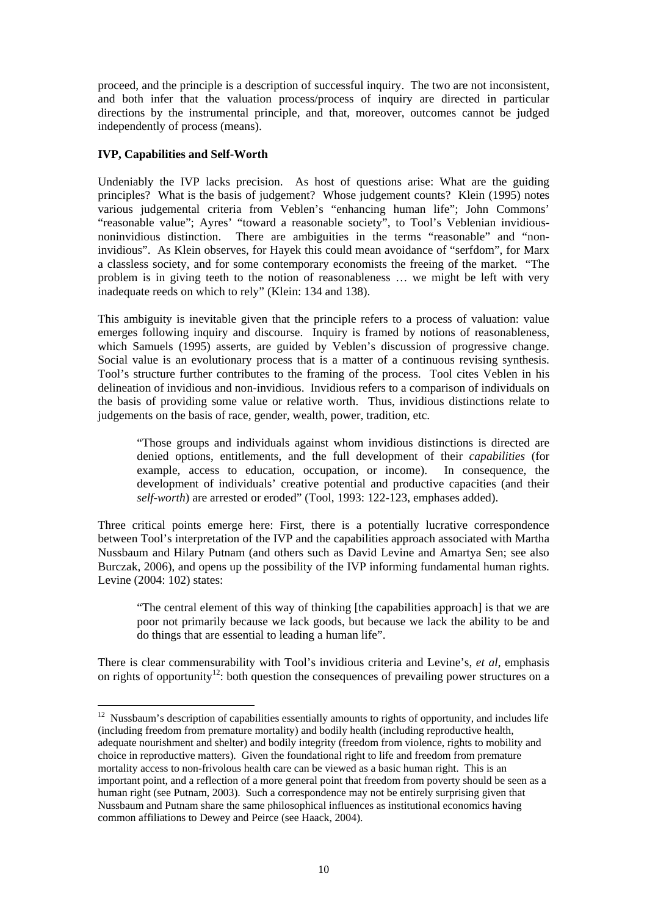proceed, and the principle is a description of successful inquiry. The two are not inconsistent, and both infer that the valuation process/process of inquiry are directed in particular directions by the instrumental principle, and that, moreover, outcomes cannot be judged independently of process (means).

# **IVP, Capabilities and Self-Worth**

 $\overline{a}$ 

Undeniably the IVP lacks precision. As host of questions arise: What are the guiding principles? What is the basis of judgement? Whose judgement counts? Klein (1995) notes various judgemental criteria from Veblen's "enhancing human life"; John Commons' "reasonable value"; Ayres' "toward a reasonable society", to Tool's Veblenian invidiousnoninvidious distinction. There are ambiguities in the terms "reasonable" and "noninvidious". As Klein observes, for Hayek this could mean avoidance of "serfdom", for Marx a classless society, and for some contemporary economists the freeing of the market. "The problem is in giving teeth to the notion of reasonableness … we might be left with very inadequate reeds on which to rely" (Klein: 134 and 138).

This ambiguity is inevitable given that the principle refers to a process of valuation: value emerges following inquiry and discourse. Inquiry is framed by notions of reasonableness, which Samuels (1995) asserts, are guided by Veblen's discussion of progressive change. Social value is an evolutionary process that is a matter of a continuous revising synthesis. Tool's structure further contributes to the framing of the process. Tool cites Veblen in his delineation of invidious and non-invidious. Invidious refers to a comparison of individuals on the basis of providing some value or relative worth. Thus, invidious distinctions relate to judgements on the basis of race, gender, wealth, power, tradition, etc.

"Those groups and individuals against whom invidious distinctions is directed are denied options, entitlements, and the full development of their *capabilities* (for example, access to education, occupation, or income). In consequence, the development of individuals' creative potential and productive capacities (and their *self-worth*) are arrested or eroded" (Tool, 1993: 122-123, emphases added).

Three critical points emerge here: First, there is a potentially lucrative correspondence between Tool's interpretation of the IVP and the capabilities approach associated with Martha Nussbaum and Hilary Putnam (and others such as David Levine and Amartya Sen; see also Burczak, 2006), and opens up the possibility of the IVP informing fundamental human rights. Levine (2004: 102) states:

"The central element of this way of thinking [the capabilities approach] is that we are poor not primarily because we lack goods, but because we lack the ability to be and do things that are essential to leading a human life".

There is clear commensurability with Tool's invidious criteria and Levine's, *et al*, emphasis on rights of opportunity<sup>12</sup>: both question the consequences of prevailing power structures on a

<sup>&</sup>lt;sup>12</sup> Nussbaum's description of capabilities essentially amounts to rights of opportunity, and includes life (including freedom from premature mortality) and bodily health (including reproductive health, adequate nourishment and shelter) and bodily integrity (freedom from violence, rights to mobility and choice in reproductive matters). Given the foundational right to life and freedom from premature mortality access to non-frivolous health care can be viewed as a basic human right. This is an important point, and a reflection of a more general point that freedom from poverty should be seen as a human right (see Putnam, 2003). Such a correspondence may not be entirely surprising given that Nussbaum and Putnam share the same philosophical influences as institutional economics having common affiliations to Dewey and Peirce (see Haack, 2004).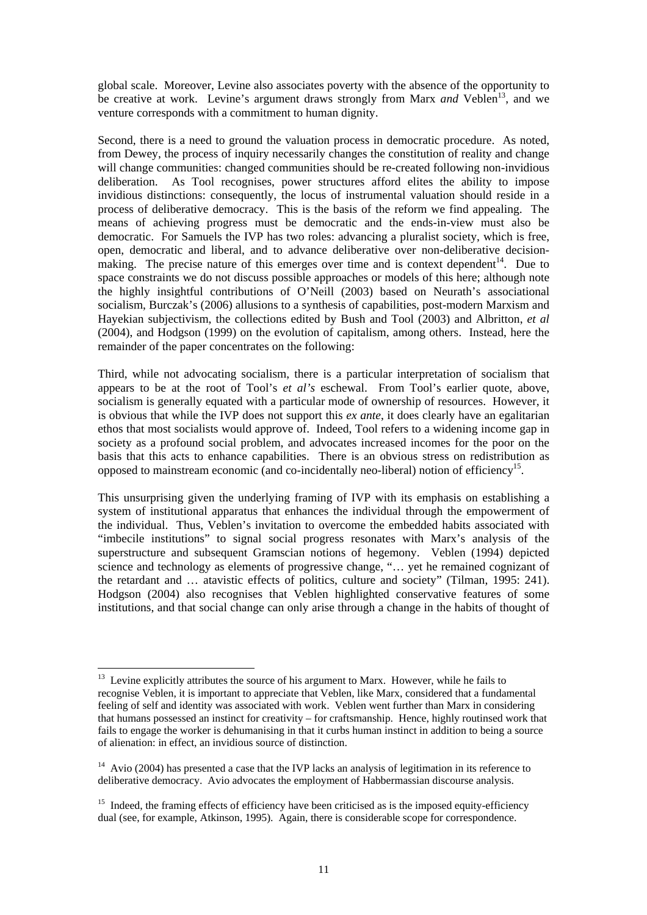global scale. Moreover, Levine also associates poverty with the absence of the opportunity to be creative at work. Levine's argument draws strongly from Marx *and* Veblen<sup>13</sup>, and we venture corresponds with a commitment to human dignity.

Second, there is a need to ground the valuation process in democratic procedure. As noted, from Dewey, the process of inquiry necessarily changes the constitution of reality and change will change communities: changed communities should be re-created following non-invidious deliberation. As Tool recognises, power structures afford elites the ability to impose invidious distinctions: consequently, the locus of instrumental valuation should reside in a process of deliberative democracy. This is the basis of the reform we find appealing. The means of achieving progress must be democratic and the ends-in-view must also be democratic. For Samuels the IVP has two roles: advancing a pluralist society, which is free, open, democratic and liberal, and to advance deliberative over non-deliberative decisionmaking. The precise nature of this emerges over time and is context dependent<sup>14</sup>. Due to space constraints we do not discuss possible approaches or models of this here; although note the highly insightful contributions of O'Neill (2003) based on Neurath's associational socialism, Burczak's (2006) allusions to a synthesis of capabilities, post-modern Marxism and Hayekian subjectivism, the collections edited by Bush and Tool (2003) and Albritton, *et al* (2004), and Hodgson (1999) on the evolution of capitalism, among others. Instead, here the remainder of the paper concentrates on the following:

Third, while not advocating socialism, there is a particular interpretation of socialism that appears to be at the root of Tool's *et al's* eschewal. From Tool's earlier quote, above, socialism is generally equated with a particular mode of ownership of resources. However, it is obvious that while the IVP does not support this *ex ante*, it does clearly have an egalitarian ethos that most socialists would approve of. Indeed, Tool refers to a widening income gap in society as a profound social problem, and advocates increased incomes for the poor on the basis that this acts to enhance capabilities. There is an obvious stress on redistribution as opposed to mainstream economic (and co-incidentally neo-liberal) notion of efficiency15.

This unsurprising given the underlying framing of IVP with its emphasis on establishing a system of institutional apparatus that enhances the individual through the empowerment of the individual. Thus, Veblen's invitation to overcome the embedded habits associated with "imbecile institutions" to signal social progress resonates with Marx's analysis of the superstructure and subsequent Gramscian notions of hegemony. Veblen (1994) depicted science and technology as elements of progressive change, "… yet he remained cognizant of the retardant and … atavistic effects of politics, culture and society" (Tilman, 1995: 241). Hodgson (2004) also recognises that Veblen highlighted conservative features of some institutions, and that social change can only arise through a change in the habits of thought of

 $13$  Levine explicitly attributes the source of his argument to Marx. However, while he fails to recognise Veblen, it is important to appreciate that Veblen, like Marx, considered that a fundamental feeling of self and identity was associated with work. Veblen went further than Marx in considering that humans possessed an instinct for creativity – for craftsmanship. Hence, highly routinsed work that fails to engage the worker is dehumanising in that it curbs human instinct in addition to being a source of alienation: in effect, an invidious source of distinction.

 $14$  Avio (2004) has presented a case that the IVP lacks an analysis of legitimation in its reference to deliberative democracy. Avio advocates the employment of Habbermassian discourse analysis.

<sup>&</sup>lt;sup>15</sup> Indeed, the framing effects of efficiency have been criticised as is the imposed equity-efficiency dual (see, for example, Atkinson, 1995). Again, there is considerable scope for correspondence.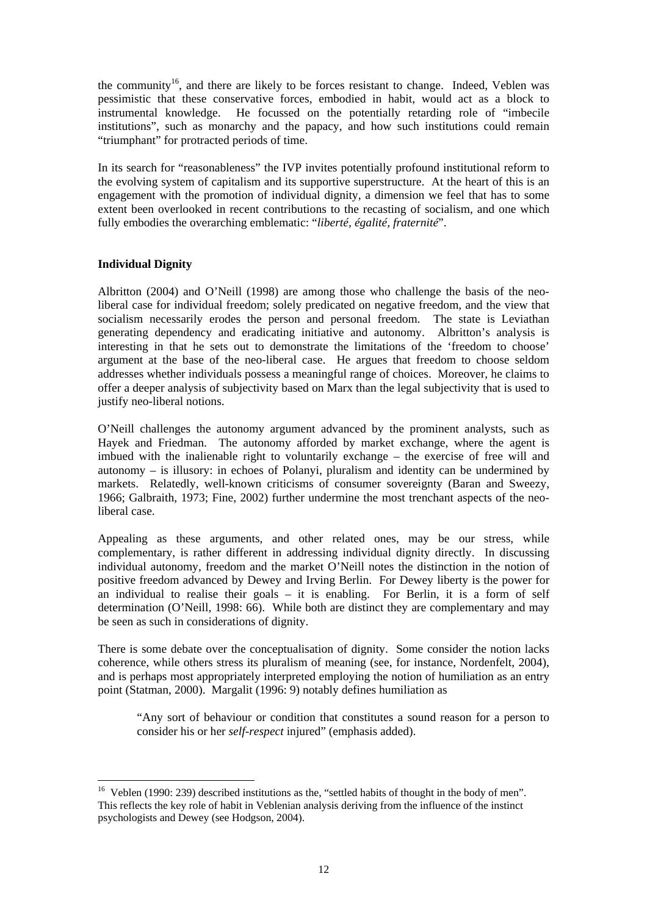the community<sup>16</sup>, and there are likely to be forces resistant to change. Indeed, Veblen was pessimistic that these conservative forces, embodied in habit, would act as a block to instrumental knowledge. He focussed on the potentially retarding role of "imbecile institutions", such as monarchy and the papacy, and how such institutions could remain "triumphant" for protracted periods of time.

In its search for "reasonableness" the IVP invites potentially profound institutional reform to the evolving system of capitalism and its supportive superstructure. At the heart of this is an engagement with the promotion of individual dignity, a dimension we feel that has to some extent been overlooked in recent contributions to the recasting of socialism, and one which fully embodies the overarching emblematic: "*liberté, égalité, fraternité*".

## **Individual Dignity**

 $\overline{a}$ 

Albritton (2004) and O'Neill (1998) are among those who challenge the basis of the neoliberal case for individual freedom; solely predicated on negative freedom, and the view that socialism necessarily erodes the person and personal freedom. The state is Leviathan generating dependency and eradicating initiative and autonomy. Albritton's analysis is interesting in that he sets out to demonstrate the limitations of the 'freedom to choose' argument at the base of the neo-liberal case. He argues that freedom to choose seldom addresses whether individuals possess a meaningful range of choices. Moreover, he claims to offer a deeper analysis of subjectivity based on Marx than the legal subjectivity that is used to justify neo-liberal notions.

O'Neill challenges the autonomy argument advanced by the prominent analysts, such as Hayek and Friedman. The autonomy afforded by market exchange, where the agent is imbued with the inalienable right to voluntarily exchange – the exercise of free will and autonomy – is illusory: in echoes of Polanyi, pluralism and identity can be undermined by markets. Relatedly, well-known criticisms of consumer sovereignty (Baran and Sweezy, 1966; Galbraith, 1973; Fine, 2002) further undermine the most trenchant aspects of the neoliberal case.

Appealing as these arguments, and other related ones, may be our stress, while complementary, is rather different in addressing individual dignity directly. In discussing individual autonomy, freedom and the market O'Neill notes the distinction in the notion of positive freedom advanced by Dewey and Irving Berlin. For Dewey liberty is the power for an individual to realise their goals  $-$  it is enabling. For Berlin, it is a form of self determination (O'Neill, 1998: 66). While both are distinct they are complementary and may be seen as such in considerations of dignity.

There is some debate over the conceptualisation of dignity. Some consider the notion lacks coherence, while others stress its pluralism of meaning (see, for instance, Nordenfelt, 2004), and is perhaps most appropriately interpreted employing the notion of humiliation as an entry point (Statman, 2000). Margalit (1996: 9) notably defines humiliation as

"Any sort of behaviour or condition that constitutes a sound reason for a person to consider his or her *self-respect* injured" (emphasis added).

<sup>&</sup>lt;sup>16</sup> Veblen (1990: 239) described institutions as the, "settled habits of thought in the body of men". This reflects the key role of habit in Veblenian analysis deriving from the influence of the instinct psychologists and Dewey (see Hodgson, 2004).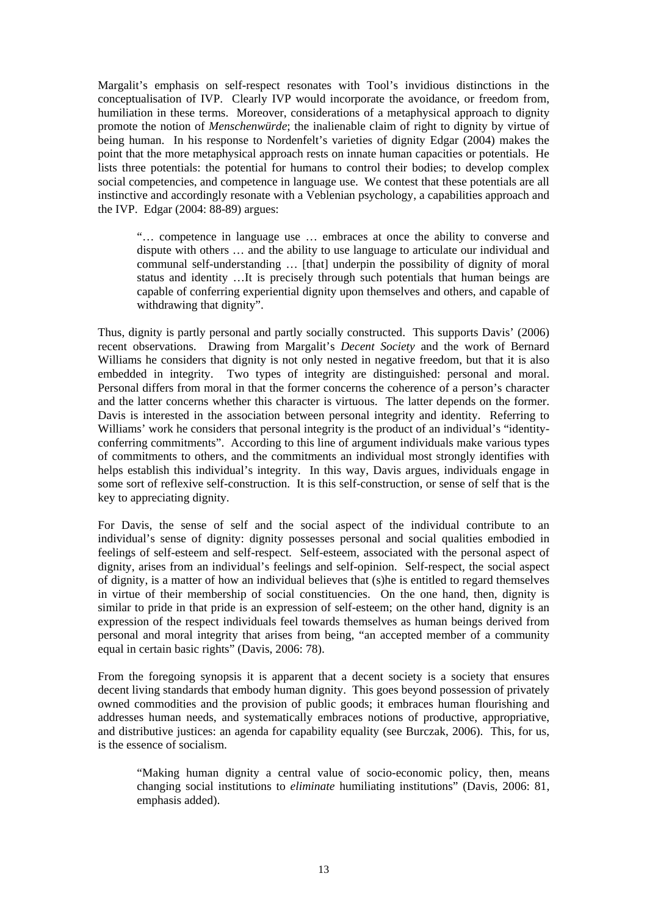Margalit's emphasis on self-respect resonates with Tool's invidious distinctions in the conceptualisation of IVP. Clearly IVP would incorporate the avoidance, or freedom from, humiliation in these terms. Moreover, considerations of a metaphysical approach to dignity promote the notion of *Menschenwürde*; the inalienable claim of right to dignity by virtue of being human. In his response to Nordenfelt's varieties of dignity Edgar (2004) makes the point that the more metaphysical approach rests on innate human capacities or potentials. He lists three potentials: the potential for humans to control their bodies; to develop complex social competencies, and competence in language use. We contest that these potentials are all instinctive and accordingly resonate with a Veblenian psychology, a capabilities approach and the IVP. Edgar (2004: 88-89) argues:

"… competence in language use … embraces at once the ability to converse and dispute with others … and the ability to use language to articulate our individual and communal self-understanding … [that] underpin the possibility of dignity of moral status and identity …It is precisely through such potentials that human beings are capable of conferring experiential dignity upon themselves and others, and capable of withdrawing that dignity".

Thus, dignity is partly personal and partly socially constructed. This supports Davis' (2006) recent observations. Drawing from Margalit's *Decent Society* and the work of Bernard Williams he considers that dignity is not only nested in negative freedom, but that it is also embedded in integrity. Two types of integrity are distinguished: personal and moral. Personal differs from moral in that the former concerns the coherence of a person's character and the latter concerns whether this character is virtuous. The latter depends on the former. Davis is interested in the association between personal integrity and identity. Referring to Williams' work he considers that personal integrity is the product of an individual's "identityconferring commitments". According to this line of argument individuals make various types of commitments to others, and the commitments an individual most strongly identifies with helps establish this individual's integrity. In this way, Davis argues, individuals engage in some sort of reflexive self-construction. It is this self-construction, or sense of self that is the key to appreciating dignity.

For Davis, the sense of self and the social aspect of the individual contribute to an individual's sense of dignity: dignity possesses personal and social qualities embodied in feelings of self-esteem and self-respect. Self-esteem, associated with the personal aspect of dignity, arises from an individual's feelings and self-opinion. Self-respect, the social aspect of dignity, is a matter of how an individual believes that (s)he is entitled to regard themselves in virtue of their membership of social constituencies. On the one hand, then, dignity is similar to pride in that pride is an expression of self-esteem; on the other hand, dignity is an expression of the respect individuals feel towards themselves as human beings derived from personal and moral integrity that arises from being, "an accepted member of a community equal in certain basic rights" (Davis, 2006: 78).

From the foregoing synopsis it is apparent that a decent society is a society that ensures decent living standards that embody human dignity. This goes beyond possession of privately owned commodities and the provision of public goods; it embraces human flourishing and addresses human needs, and systematically embraces notions of productive, appropriative, and distributive justices: an agenda for capability equality (see Burczak, 2006). This, for us, is the essence of socialism.

"Making human dignity a central value of socio-economic policy, then, means changing social institutions to *eliminate* humiliating institutions" (Davis, 2006: 81, emphasis added).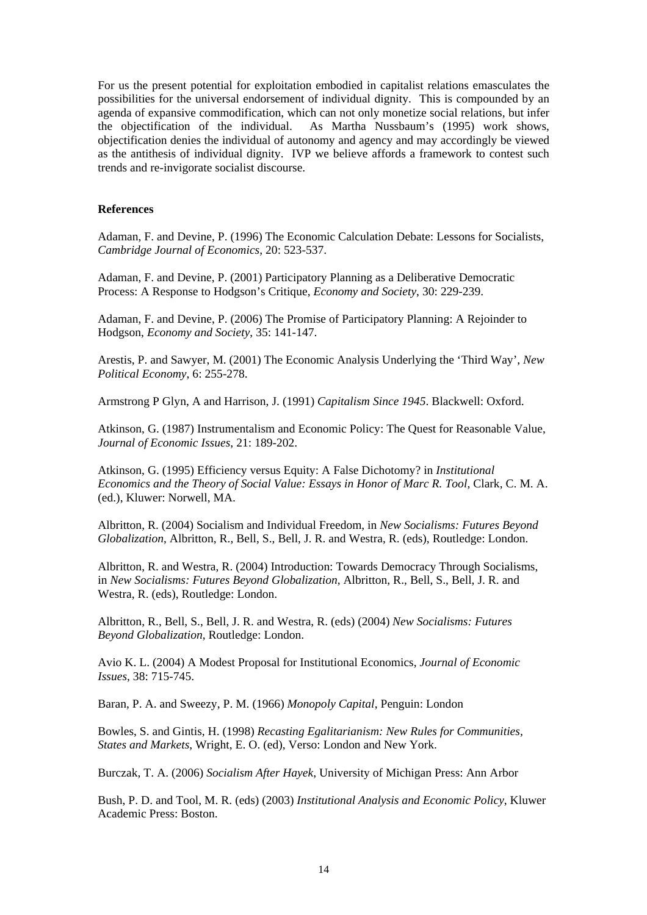For us the present potential for exploitation embodied in capitalist relations emasculates the possibilities for the universal endorsement of individual dignity. This is compounded by an agenda of expansive commodification, which can not only monetize social relations, but infer the objectification of the individual. As Martha Nussbaum's (1995) work shows, objectification denies the individual of autonomy and agency and may accordingly be viewed as the antithesis of individual dignity. IVP we believe affords a framework to contest such trends and re-invigorate socialist discourse.

#### **References**

Adaman, F. and Devine, P. (1996) The Economic Calculation Debate: Lessons for Socialists, *Cambridge Journal of Economics*, 20: 523-537.

Adaman, F. and Devine, P. (2001) Participatory Planning as a Deliberative Democratic Process: A Response to Hodgson's Critique, *Economy and Society*, 30: 229-239.

Adaman, F. and Devine, P. (2006) The Promise of Participatory Planning: A Rejoinder to Hodgson, *Economy and Society*, 35: 141-147.

Arestis, P. and Sawyer, M. (2001) The Economic Analysis Underlying the 'Third Way', *New Political Economy*, 6: 255-278.

Armstrong P Glyn, A and Harrison, J. (1991) *Capitalism Since 1945*. Blackwell: Oxford.

Atkinson, G. (1987) Instrumentalism and Economic Policy: The Quest for Reasonable Value, *Journal of Economic Issues*, 21: 189-202.

Atkinson, G. (1995) Efficiency versus Equity: A False Dichotomy? in *Institutional Economics and the Theory of Social Value: Essays in Honor of Marc R. Tool*, Clark, C. M. A. (ed.), Kluwer: Norwell, MA.

Albritton, R. (2004) Socialism and Individual Freedom, in *New Socialisms: Futures Beyond Globalization*, Albritton, R., Bell, S., Bell, J. R. and Westra, R. (eds), Routledge: London.

Albritton, R. and Westra, R. (2004) Introduction: Towards Democracy Through Socialisms, in *New Socialisms: Futures Beyond Globalization*, Albritton, R., Bell, S., Bell, J. R. and Westra, R. (eds), Routledge: London.

Albritton, R., Bell, S., Bell, J. R. and Westra, R. (eds) (2004) *New Socialisms: Futures Beyond Globalization*, Routledge: London.

Avio K. L. (2004) A Modest Proposal for Institutional Economics, *Journal of Economic Issues*, 38: 715-745.

Baran, P. A. and Sweezy, P. M. (1966) *Monopoly Capital*, Penguin: London

Bowles, S. and Gintis, H. (1998) *Recasting Egalitarianism: New Rules for Communities, States and Markets*, Wright, E. O. (ed), Verso: London and New York.

Burczak, T. A. (2006) *Socialism After Hayek*, University of Michigan Press: Ann Arbor

Bush, P. D. and Tool, M. R. (eds) (2003) *Institutional Analysis and Economic Policy*, Kluwer Academic Press: Boston.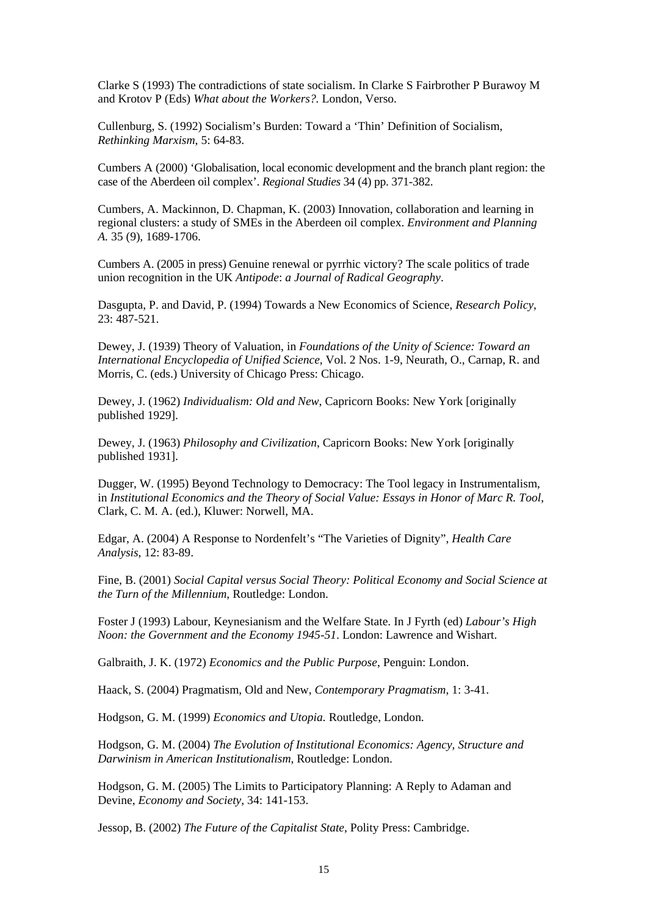Clarke S (1993) The contradictions of state socialism. In Clarke S Fairbrother P Burawoy M and Krotov P (Eds) *What about the Workers?.* London, Verso.

Cullenburg, S. (1992) Socialism's Burden: Toward a 'Thin' Definition of Socialism, *Rethinking Marxism*, 5: 64-83.

Cumbers A (2000) 'Globalisation, local economic development and the branch plant region: the case of the Aberdeen oil complex'. *Regional Studies* 34 (4) pp. 371-382.

Cumbers, A. Mackinnon, D. Chapman, K. (2003) Innovation, collaboration and learning in regional clusters: a study of SMEs in the Aberdeen oil complex. *Environment and Planning A.* 35 (9), 1689-1706.

Cumbers A. (2005 in press) Genuine renewal or pyrrhic victory? The scale politics of trade union recognition in the UK *Antipode*: *a Journal of Radical Geography*.

Dasgupta, P. and David, P. (1994) Towards a New Economics of Science, *Research Policy*, 23: 487-521.

Dewey, J. (1939) Theory of Valuation, in *Foundations of the Unity of Science: Toward an International Encyclopedia of Unified Science*, Vol. 2 Nos. 1-9, Neurath, O., Carnap, R. and Morris, C. (eds.) University of Chicago Press: Chicago.

Dewey, J. (1962) *Individualism: Old and New*, Capricorn Books: New York [originally published 1929].

Dewey, J. (1963) *Philosophy and Civilization*, Capricorn Books: New York [originally published 1931].

Dugger, W. (1995) Beyond Technology to Democracy: The Tool legacy in Instrumentalism, in *Institutional Economics and the Theory of Social Value: Essays in Honor of Marc R. Tool*, Clark, C. M. A. (ed.), Kluwer: Norwell, MA.

Edgar, A. (2004) A Response to Nordenfelt's "The Varieties of Dignity", *Health Care Analysis*, 12: 83-89.

Fine, B. (2001) *Social Capital versus Social Theory: Political Economy and Social Science at the Turn of the Millennium*, Routledge: London.

Foster J (1993) Labour, Keynesianism and the Welfare State. In J Fyrth (ed) *Labour's High Noon: the Government and the Economy 1945-51*. London: Lawrence and Wishart.

Galbraith, J. K. (1972) *Economics and the Public Purpose*, Penguin: London.

Haack, S. (2004) Pragmatism, Old and New, *Contemporary Pragmatism*, 1: 3-41.

Hodgson, G. M. (1999) *Economics and Utopia.* Routledge, London.

Hodgson, G. M. (2004) *The Evolution of Institutional Economics: Agency, Structure and Darwinism in American Institutionalism*, Routledge: London.

Hodgson, G. M. (2005) The Limits to Participatory Planning: A Reply to Adaman and Devine, *Economy and Society*, 34: 141-153.

Jessop, B. (2002) *The Future of the Capitalist State*, Polity Press: Cambridge.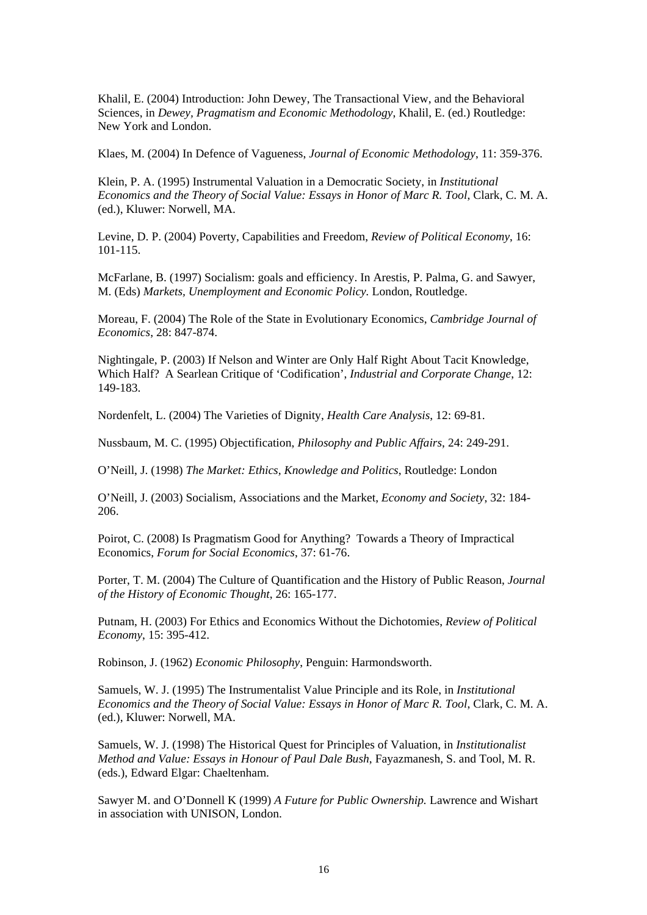Khalil, E. (2004) Introduction: John Dewey, The Transactional View, and the Behavioral Sciences, in *Dewey, Pragmatism and Economic Methodology*, Khalil, E. (ed.) Routledge: New York and London.

Klaes, M. (2004) In Defence of Vagueness, *Journal of Economic Methodology*, 11: 359-376.

Klein, P. A. (1995) Instrumental Valuation in a Democratic Society, in *Institutional Economics and the Theory of Social Value: Essays in Honor of Marc R. Tool*, Clark, C. M. A. (ed.), Kluwer: Norwell, MA.

Levine, D. P. (2004) Poverty, Capabilities and Freedom, *Review of Political Economy*, 16: 101-115.

McFarlane, B. (1997) Socialism: goals and efficiency. In Arestis, P. Palma, G. and Sawyer, M. (Eds) *Markets, Unemployment and Economic Policy.* London, Routledge.

Moreau, F. (2004) The Role of the State in Evolutionary Economics, *Cambridge Journal of Economics*, 28: 847-874.

Nightingale, P. (2003) If Nelson and Winter are Only Half Right About Tacit Knowledge, Which Half? A Searlean Critique of 'Codification', *Industrial and Corporate Change*, 12: 149-183.

Nordenfelt, L. (2004) The Varieties of Dignity, *Health Care Analysis*, 12: 69-81.

Nussbaum, M. C. (1995) Objectification, *Philosophy and Public Affairs*, 24: 249-291.

O'Neill, J. (1998) *The Market: Ethics, Knowledge and Politics*, Routledge: London

O'Neill, J. (2003) Socialism, Associations and the Market, *Economy and Society*, 32: 184- 206.

Poirot, C. (2008) Is Pragmatism Good for Anything? Towards a Theory of Impractical Economics, *Forum for Social Economics*, 37: 61-76.

Porter, T. M. (2004) The Culture of Quantification and the History of Public Reason, *Journal of the History of Economic Thought*, 26: 165-177.

Putnam, H. (2003) For Ethics and Economics Without the Dichotomies, *Review of Political Economy*, 15: 395-412.

Robinson, J. (1962) *Economic Philosophy*, Penguin: Harmondsworth.

Samuels, W. J. (1995) The Instrumentalist Value Principle and its Role, in *Institutional Economics and the Theory of Social Value: Essays in Honor of Marc R. Tool*, Clark, C. M. A. (ed.), Kluwer: Norwell, MA.

Samuels, W. J. (1998) The Historical Quest for Principles of Valuation, in *Institutionalist Method and Value: Essays in Honour of Paul Dale Bush*, Fayazmanesh, S. and Tool, M. R. (eds.), Edward Elgar: Chaeltenham.

Sawyer M. and O'Donnell K (1999) *A Future for Public Ownership.* Lawrence and Wishart in association with UNISON, London.